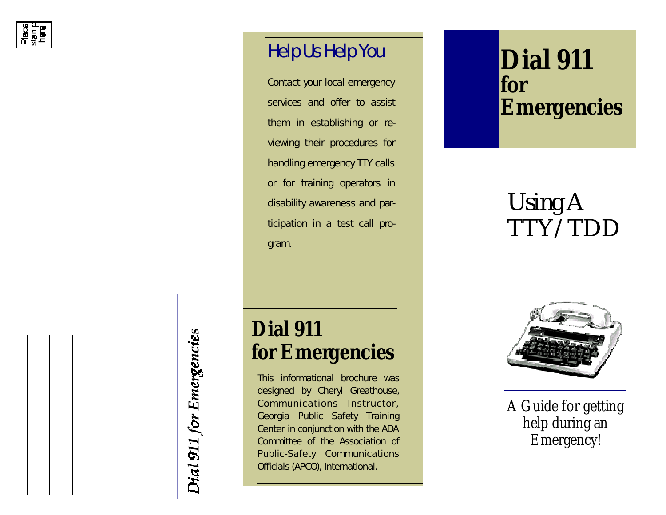

## Help Us Help You **Dial 911**

Contact your local emergency services and offer to assist them in establishing or reviewing their procedures for handling emergency TTY calls or for training operators in disability awareness and participation in a test call program.

# *for Emergencies*

### *Using A TTY/TDD*

Dial 911 for Emergencies

### *Dial 911 for Emergencies*

*This informational brochure was designed by Cheryl Greathouse, Communications Instructor, Georgia Public Safety Training Center in conjunction with the ADA Committee of the Association of Public-Safety Communications Officials (APCO), International.*



A Guide for getting help during an Emergency!